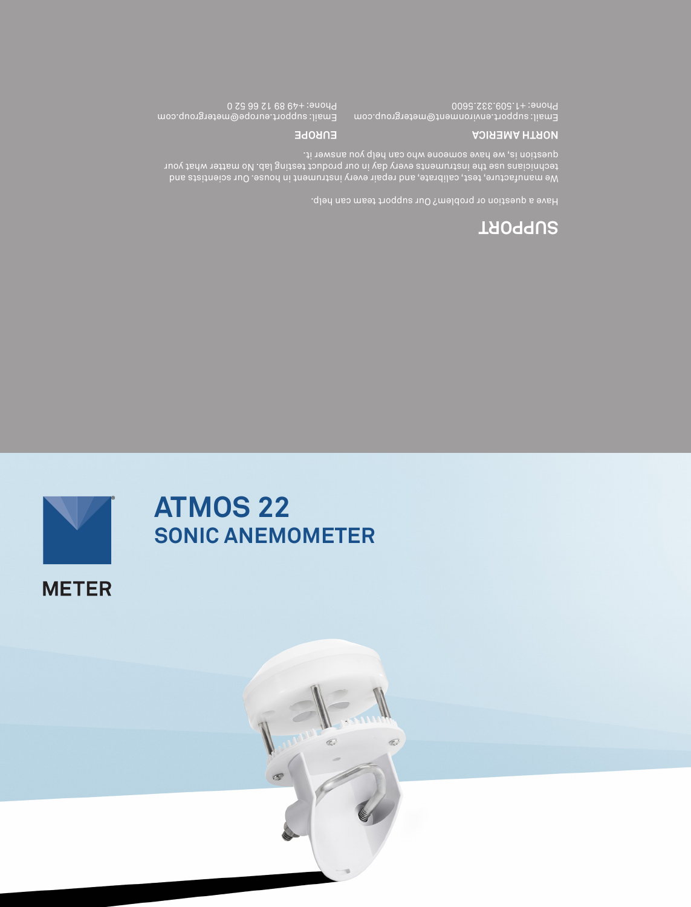

# **ATMOS 22 SONIC ANEMOMETER**

 $\sigma$ 

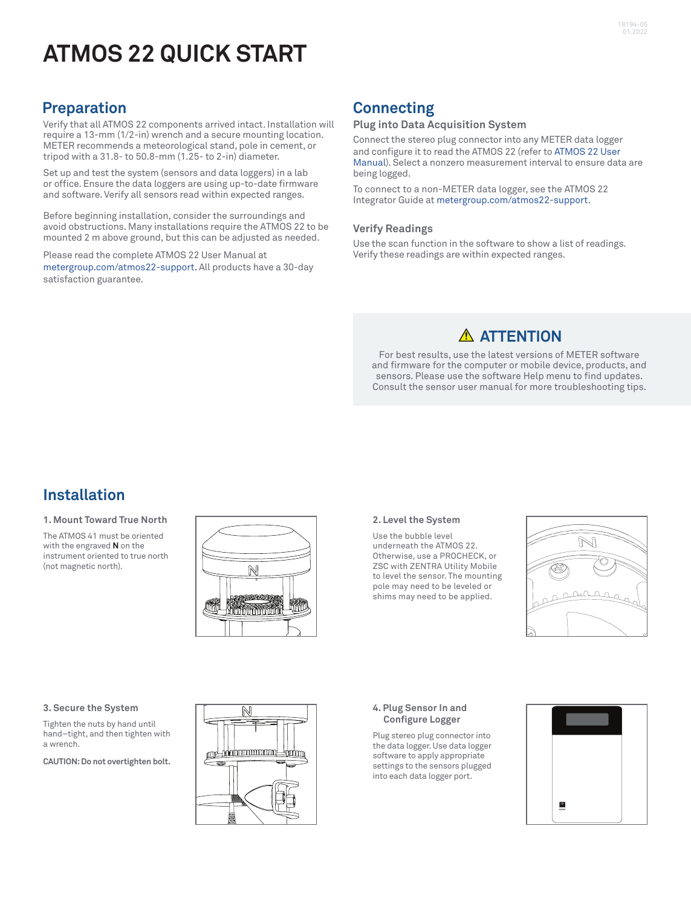# **ATMOS 22 QUICK START**

### **Preparation**

Verify that all ATMOS 22 components arrived intact. Installation will require a 13-mm (1/2-in) wrench and a secure mounting location. METER recommends a meteorological stand, pole in cement, or tripod with a 31.8- to 50.8-mm (1.25- to 2-in) diameter.

Set up and test the system (sensors and data loggers) in a lab or office. Ensure the data loggers are using up-to-date firmware and software. Verify all sensors read within expected ranges.

Before beginning installation, consider the surroundings and avoid obstructions. Many installations require the ATMOS 22 to be mounted 2 m above ground, but this can be adjusted as needed.

Please read the complete ATMOS 22 User Manual at metergroup.com/atmos22-support. All products have a 30-day satisfaction guarantee.

## **Connecting**

#### **Plug into Data Acquisition System**

Connect the stereo plug connector into any METER data logger and configure it to read the ATMOS 22 (refer to ATMOS 22 User Manual). Select a nonzero measurement interval to ensure data are being logged.

To connect to a non-METER data logger, see the ATMOS 22 Integrator Guide at metergroup.com/atmos22-support.

#### **Verify Readings**

Use the scan function in the software to show a list of readings. Verify these readings are within expected ranges.

### **ATTENTION**

For best results, use the latest versions of METER software and firmware for the computer or mobile device, products, and sensors. Please use the software Help menu to find updates. Consult the sensor user manual for more troubleshooting tips.

### **Installation**

#### **1. Mount Toward True North**

The ATMOS 41 must be oriented with the engraved **N** on the instrument oriented to true north (not magnetic north).



#### **2. Level the System**

Use the bubble level underneath the ATMOS 22. Otherwise, use a PROCHECK, or ZSC with ZENTRA Utility Mobile to level the sensor. The mounting pole may need to be leveled or shims may need to be applied.



#### **3. Secure the System**

Tighten the nuts by hand until hand–tight, and then tighten with a wrench.

**CAUTION: Do not overtighten bolt.**



#### **4. Plug Sensor In and Configure Logger**

Plug stereo plug connector into the data logger. Use data logger software to apply appropriate settings to the sensors plugged into each data logger port.